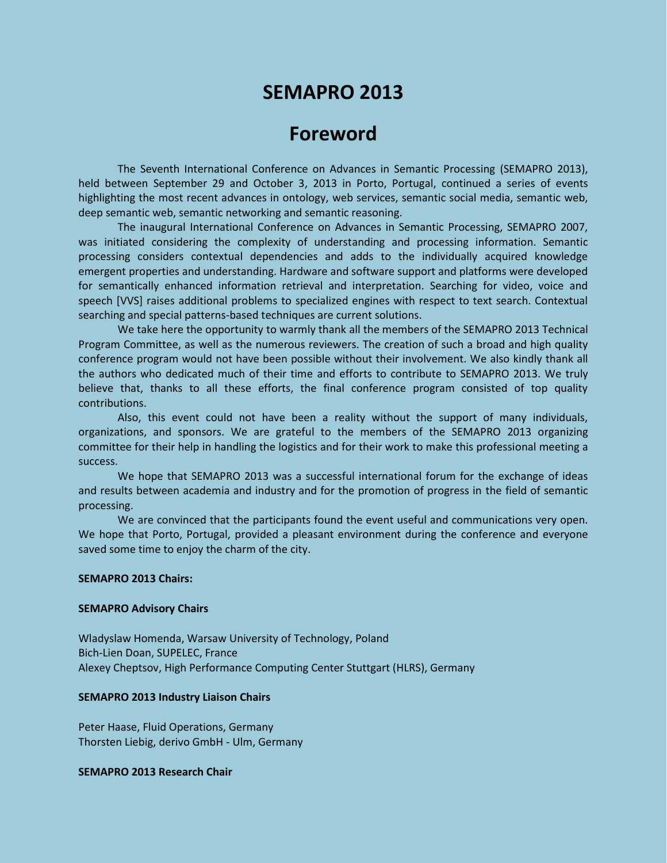# **SEMAPRO 2013**

# **Foreword**

The Seventh International Conference on Advances in Semantic Processing (SEMAPRO 2013), held between September 29 and October 3, 2013 in Porto, Portugal, continued a series of events highlighting the most recent advances in ontology, web services, semantic social media, semantic web, deep semantic web, semantic networking and semantic reasoning.

The inaugural International Conference on Advances in Semantic Processing, SEMAPRO 2007, was initiated considering the complexity of understanding and processing information. Semantic processing considers contextual dependencies and adds to the individually acquired knowledge emergent properties and understanding. Hardware and software support and platforms were developed for semantically enhanced information retrieval and interpretation. Searching for video, voice and speech [VVS] raises additional problems to specialized engines with respect to text search. Contextual searching and special patterns-based techniques are current solutions.

We take here the opportunity to warmly thank all the members of the SEMAPRO 2013 Technical Program Committee, as well as the numerous reviewers. The creation of such a broad and high quality conference program would not have been possible without their involvement. We also kindly thank all the authors who dedicated much of their time and efforts to contribute to SEMAPRO 2013. We truly believe that, thanks to all these efforts, the final conference program consisted of top quality contributions.

Also, this event could not have been a reality without the support of many individuals, organizations, and sponsors. We are grateful to the members of the SEMAPRO 2013 organizing committee for their help in handling the logistics and for their work to make this professional meeting a success.

We hope that SEMAPRO 2013 was a successful international forum for the exchange of ideas and results between academia and industry and for the promotion of progress in the field of semantic processing.

We are convinced that the participants found the event useful and communications very open. We hope that Porto, Portugal, provided a pleasant environment during the conference and everyone saved some time to enjoy the charm of the city.

## **SEMAPRO 2013 Chairs:**

#### **SEMAPRO Advisory Chairs**

Wladyslaw Homenda, Warsaw University of Technology, Poland Bich-Lien Doan, SUPELEC, France Alexey Cheptsov, High Performance Computing Center Stuttgart (HLRS), Germany

#### **SEMAPRO 2013 Industry Liaison Chairs**

Peter Haase, Fluid Operations, Germany Thorsten Liebig, derivo GmbH - Ulm, Germany

### **SEMAPRO 2013 Research Chair**